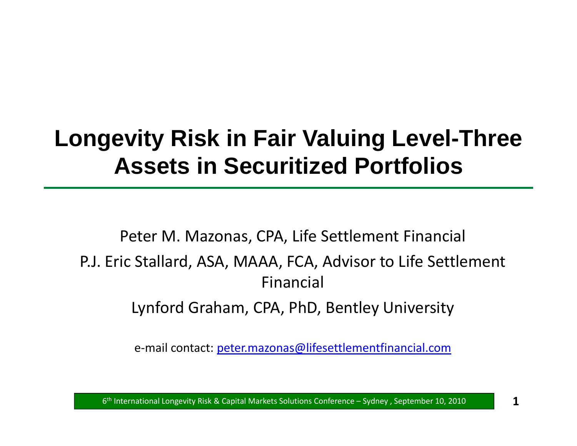# **Longevity Risk in Fair Valuing Level -Three Assets in Securitized Portfolios**

Peter M. Mazonas, CPA, Life Settlement Financial P.J. Eric Stallard, ASA, MAAA, FCA, Advisor to Life Settlement FinancialLynford Graham, CPA, PhD, Bentley University

e-mail contact: <u>peter.mazonas@lifesettlementfinancial.com</u>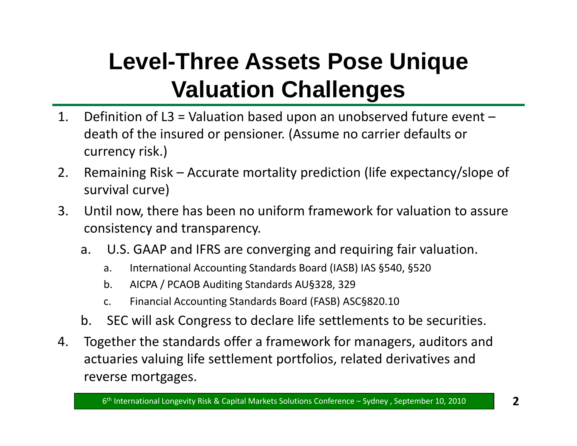# **Level-Three Assets Pose Unique V l ti Ch ll Valuation allenges**

- 1. Definition of L3 = Valuation based upon an unobserved future event death of the insured or pensioner. (Assume no carrier defaults or currency risk.)
- 2. Remaining Risk Accurate mortality prediction (life expectancy/slope of survival curve)
- 3. Until now, there has been no uniform framework for valuation to assure consistency and transparency.
	- a.U.S. GAAP and IFRS are converging and requiring fair valuation.
		- a. International Accounting Standards Board (IASB) IAS §540, §520
		- b. AICPA / PCAOB Auditing Standards AU§328, 329
		- c. Financial Accounting Standards Board (FASB) ASC§820.10
	- b. SEC will ask Congress to declare life settlements to be securities.
- 4. Together the standards offer a framework for managers, auditors and actuaries valuing life settlement portfolios, related derivatives and reverse mortgages.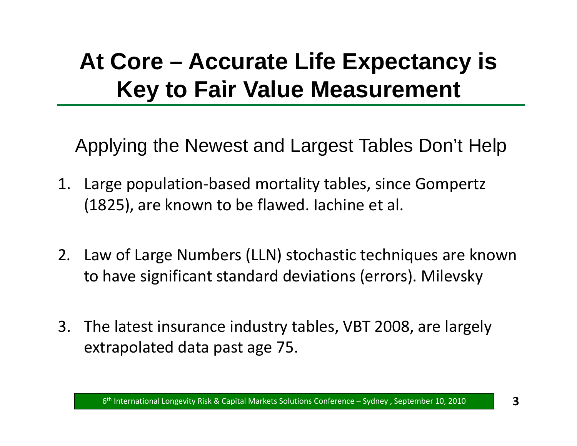# **At Core – Accurate Life Expectancy is Key to Fair Value Measurement**

'Applying the Newest and Largest Tables Don't Help

- 1. Large population ‐based mortality tables, since Gompertz (1825), are known to be flawed. Iachine et al.
- 2. Law of Large Numbers (LLN) stochastic techniques are known to have significant standard deviations (errors). Milevsky
- 3. The latest insurance industry tables, VBT 2008, are largely extrapolated data past age 75.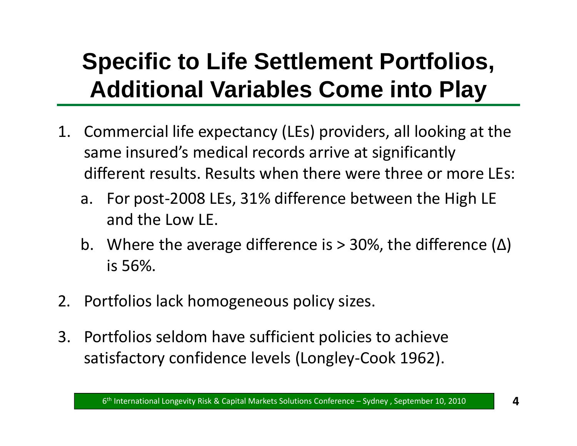# **Specific to Life Settlement Portfolios, Additi l V i bl C i t Pl Additional Variables Come in to Play**

- 1. Commercial life expectancy (LEs) providers, all looking at the same insured's medical records arrive at significantly different results. Results when there were three or more LEs:
	- a. For post-2008 LEs, 31% difference between the High LE and the Low LE.
	- b. Where the average difference is > 30%, the difference (Δ) is 56%.
- 2. Portfolios lack homogeneous policy sizes.
- 3. Portfolios seldom have sufficient policies to achieve satisfactory confidence levels (Longley ‐Cook 1962).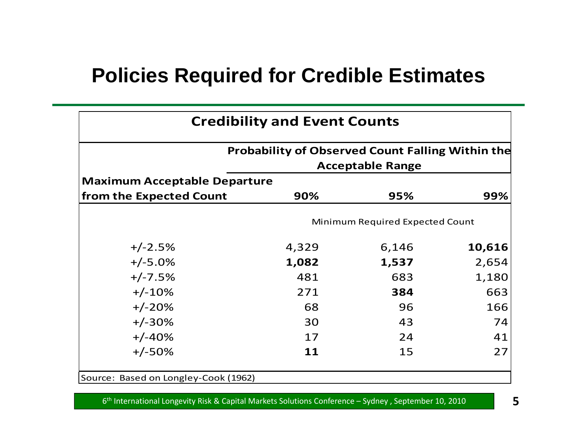### **Policies Required for Credible Estimates**

| <b>Credibility and Event Counts</b>  |                                                         |                         |        |  |  |  |  |
|--------------------------------------|---------------------------------------------------------|-------------------------|--------|--|--|--|--|
|                                      | <b>Probability of Observed Count Falling Within the</b> | <b>Acceptable Range</b> |        |  |  |  |  |
| <b>Maximum Acceptable Departure</b>  |                                                         |                         |        |  |  |  |  |
| from the Expected Count              | 90%                                                     | 95%                     | 99%    |  |  |  |  |
|                                      | Minimum Required Expected Count                         |                         |        |  |  |  |  |
| $+/-2.5%$                            | 4,329                                                   | 6,146                   | 10,616 |  |  |  |  |
| $+/-5.0%$                            | 1,082                                                   | 1,537                   | 2,654  |  |  |  |  |
| $+/-7.5%$                            | 481                                                     | 683                     | 1,180  |  |  |  |  |
| $+/-10%$                             | 271                                                     | 384                     | 663    |  |  |  |  |
| $+/-20%$                             | 68                                                      | 96                      | 166    |  |  |  |  |
| $+/-30%$                             | 30                                                      | 43                      | 74     |  |  |  |  |
| $+/-40%$                             | 17                                                      | 24                      | 41     |  |  |  |  |
| $+/-50%$                             | 11                                                      | 15                      | 27     |  |  |  |  |
| Source: Based on Longley-Cook (1962) |                                                         |                         |        |  |  |  |  |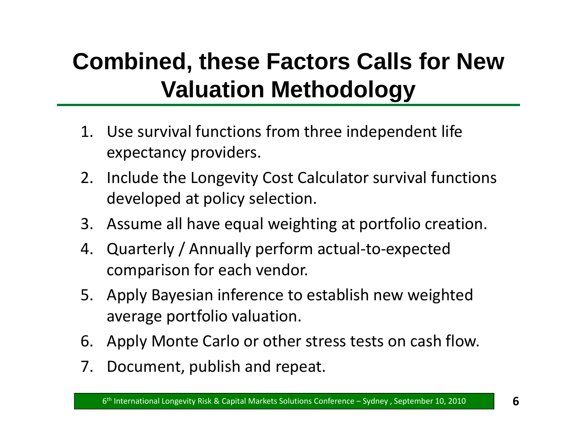# **Combined, these Factors Calls for New V l ti M th d l Valuation eth o ology**

- 1. Use survival functions from three inde pendent life expectancy providers.
- 2. Include the Longevity Cost Calculator survival functions developed at policy selection.
- 3. Assume all have equal weighting at portfolio creation.
- 4. Quarterly / Annually perform actual ‐to ‐expected comparison for each vendor.
- 5. Apply Bayesian inference to establish new weighted average portfolio valuation.
- 6. Apply Monte Carlo or other stress tests on cash flow.
- 7. Document, publish and repeat.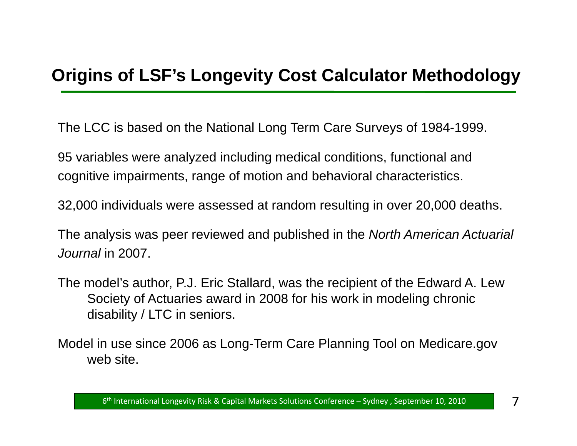#### **Orig g y gy ins of LSF's Longevity Cost Calculator Methodology**

The LCC is based on the National Long Term Care Surveys of 1984-1999.

95 variables were analyzed including medical conditions, functional and cognitive impairments, range of motion and behavioral characteristics.

32,000 individuals were assessed at random resulting in over 20,000 deaths.

The analysis was peer reviewed and published in the *North American Actuarial Journal* in 2007.

- The model's author, P.J. Eric Stallard, was the recipient of the Edward A. Lew Society of Actuaries award in 2008 for his work in modeling chronic disability / LTC in seniors.
- Model in use since 2006 as Long-Term Care Planning Tool on Medicare.gov web site.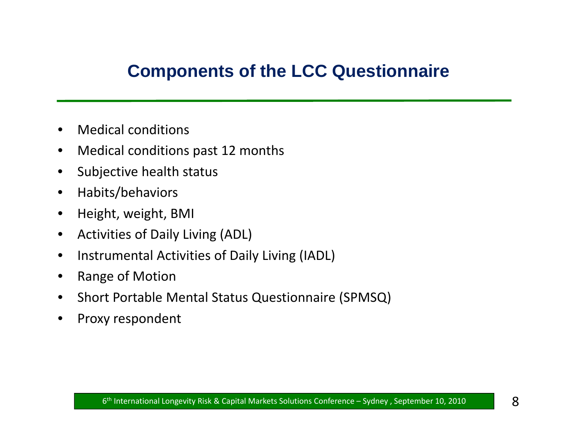#### **Components of the LCC Questionnaire**

- $\bullet$ Medical conditions
- $\bullet$ Medical conditions past 12 months
- $\bullet$ Subjective health status
- $\bullet$ Habits/behaviors
- $\bullet$ Height, weight, BMI
- $\bullet$ **•** Activities of Daily Living (ADL)
- $\bullet$ • Instrumental Activities of Daily Living (IADL)
- $\bullet$ Range of Motion
- $\bullet$ **•** Short Portable Mental Status Questionnaire (SPMSQ)
- •Proxy respondent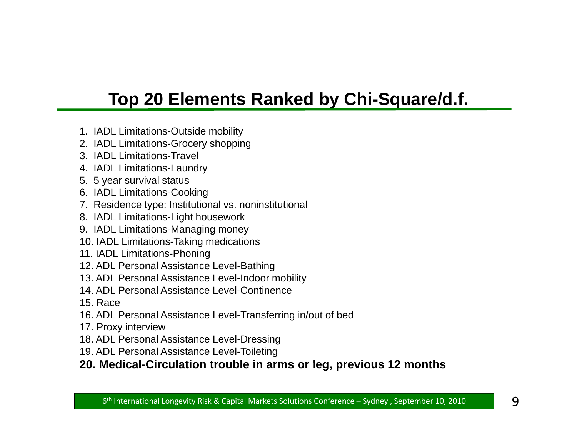### **Top 20 Elements Ranked by Chi-Square/d.f.**

- 1. IADL Limitations-Outside mobility
- 2. IADL Limitations-Grocery shopping
- 3. IADL Limitations-Travel
- 4. IADL Limitations-Laundry
- 5. 5 year survival status
- 6. IADL Limitations-Cooking
- 7. Residence type: Institutional vs. noninstitutional
- 8. IADL Limitations-Light housework
- 9. IADL Limitations-Managing money
- 10. IADL Limitations-Taking medications
- 11. IADL Limitations-Phoning
- 12. ADL Personal Assistance Level-Bathing
- 13. ADL Personal Assistance Level-Indoor mobility
- 14. ADL Personal Assistance Level-Continence
- 15. Race
- 16. ADL Personal Assistance Level-Transferring in/out of bed
- 17. Proxy interview
- 18. ADL Personal Assistance Level-Dressing
- 19. ADL Personal Assistance Level-Toileting

#### 20. Medical-Circulation trouble in arms or leg, previous 12 months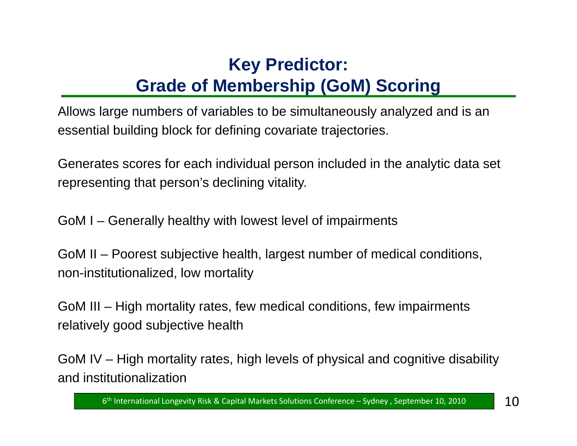### **Key Predictor: G d f M b hi (G M) S i Grade of Membership (GoM) Scoring**

Allows large numbers of variables to be simultaneously analyzed and is an essential building block for defining covariate trajectories.

Generates scores for each individual person included in the analytic data set representing that person's declining vitality.

GoM I – Generally healthy with lowest level of impairments

GoM II – Poorest subjective health, largest number of medical conditions, non-institutionalized, low mortality

GoM III – High mortality rates, few medical conditions, few impairments relatively good subjective health

GoM IV – High mortality rates, high levels of physical and cognitive disability and institutionalization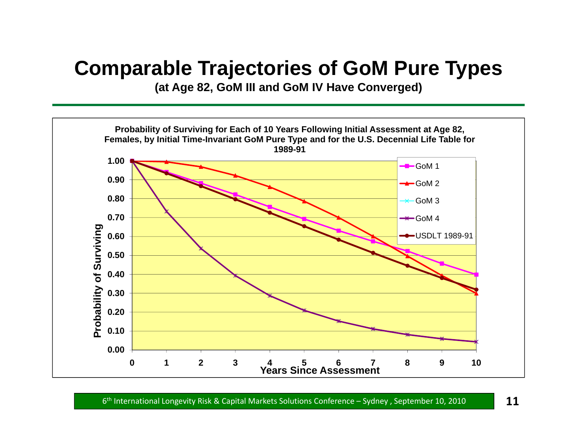### **Comparable Trajectories of GoM Pure Types**

**(at Age 82, GoM III and GoM IV Have Converged)**

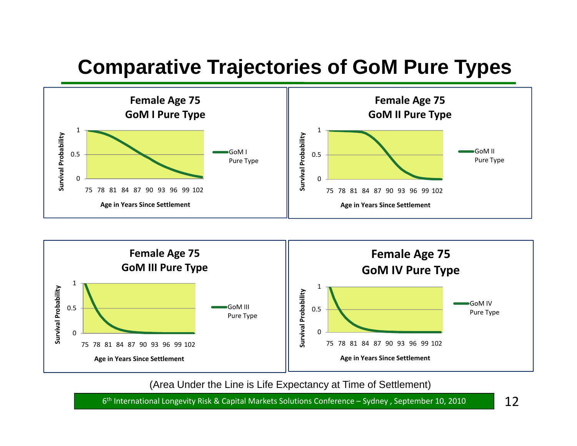## **Comparative Trajectories of GoM Pure Types**





(Area Under the Line is Life Expectancy at Time of Settlement)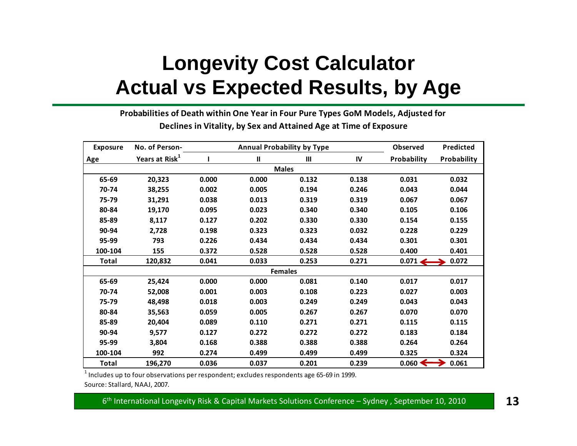# **Longevity Cost Calculator Actual vs Expected Results, by Age**

**Probabilities of Death within One Year in Four Pure Types GoM Models, Adjusted for Declines in Vitality, by Sex and Attained Age at Time of Exposure**

| <b>Exposure</b> | No. of Person-             |       | <b>Annual Probability by Type</b> | <b>Observed</b> | Predicted |                    |             |  |  |  |
|-----------------|----------------------------|-------|-----------------------------------|-----------------|-----------|--------------------|-------------|--|--|--|
| Age             | Years at Risk <sup>1</sup> |       | $\mathbf{II}$                     | $\mathbf{m}$    | IV        | Probability        | Probability |  |  |  |
|                 | <b>Males</b>               |       |                                   |                 |           |                    |             |  |  |  |
| 65-69           | 20,323                     | 0.000 | 0.000                             | 0.132           | 0.138     | 0.031              | 0.032       |  |  |  |
| 70-74           | 38,255                     | 0.002 | 0.005                             | 0.194           | 0.246     | 0.043              | 0.044       |  |  |  |
| 75-79           | 31,291                     | 0.038 | 0.013                             | 0.319           | 0.319     | 0.067              | 0.067       |  |  |  |
| 80-84           | 19,170                     | 0.095 | 0.023                             | 0.340           | 0.340     | 0.105              | 0.106       |  |  |  |
| 85-89           | 8,117                      | 0.127 | 0.202                             | 0.330           | 0.330     | 0.154              | 0.155       |  |  |  |
| 90-94           | 2,728                      | 0.198 | 0.323                             | 0.323           | 0.032     | 0.228              | 0.229       |  |  |  |
| 95-99           | 793                        | 0.226 | 0.434                             | 0.434           | 0.434     | 0.301              | 0.301       |  |  |  |
| 100-104         | 155                        | 0.372 | 0.528                             | 0.528           | 0.528     | 0.400              | 0.401       |  |  |  |
| Total           | 120,832                    | 0.041 | 0.033                             | 0.253           | 0.271     | $0.071 \leftarrow$ | 0.072       |  |  |  |
|                 |                            |       |                                   | <b>Females</b>  |           |                    |             |  |  |  |
| 65-69           | 25,424                     | 0.000 | 0.000                             | 0.081           | 0.140     | 0.017              | 0.017       |  |  |  |
| 70-74           | 52,008                     | 0.001 | 0.003                             | 0.108           | 0.223     | 0.027              | 0.003       |  |  |  |
| 75-79           | 48,498                     | 0.018 | 0.003                             | 0.249           | 0.249     | 0.043              | 0.043       |  |  |  |
| 80-84           | 35,563                     | 0.059 | 0.005                             | 0.267           | 0.267     | 0.070              | 0.070       |  |  |  |
| 85-89           | 20,404                     | 0.089 | 0.110                             | 0.271           | 0.271     | 0.115              | 0.115       |  |  |  |
| 90-94           | 9,577                      | 0.127 | 0.272                             | 0.272           | 0.272     | 0.183              | 0.184       |  |  |  |
| 95-99           | 3,804                      | 0.168 | 0.388                             | 0.388           | 0.388     | 0.264              | 0.264       |  |  |  |
| 100-104         | 992                        | 0.274 | 0.499                             | 0.499           | 0.499     | 0.325              | 0.324       |  |  |  |
| <b>Total</b>    | 196,270                    | 0.036 | 0.037                             | 0.201           | 0.239     | $0.060 \leftarrow$ | 0.061       |  |  |  |

 $^{\rm 1}$  Includes up to four observations per respondent; excludes respondents age 65-69 in 1999.

Source: Stallard, NAAJ, 2007.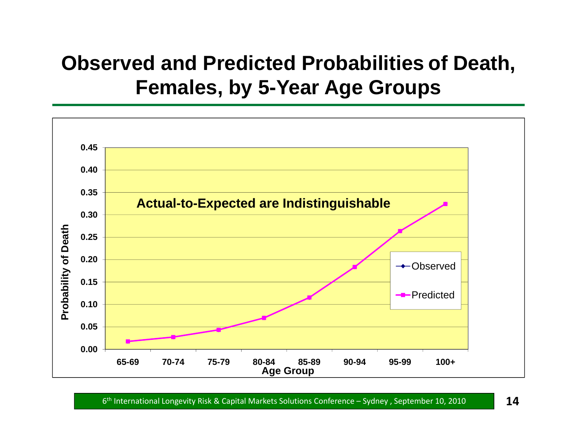## **Observed and Predicted Probabilities of Death, F l b5 emales, by 5 -Y AG ear Age Groups**

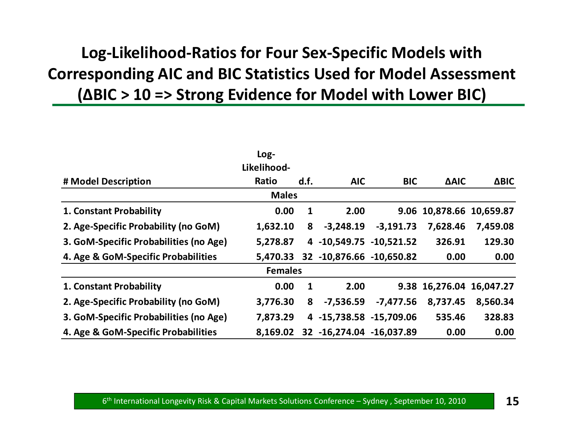### **Log‐Likelihood‐Ratios for Four Sex‐Specific Models with Corresponding AIC and BIC Statistics Used for Model Assessment (∆BIC <sup>&</sup>gt; 10 => Strong Evidence for Model with Lower BIC)**

|                                        | Log-<br>Likelihood- |              |                                   |             |                          |             |
|----------------------------------------|---------------------|--------------|-----------------------------------|-------------|--------------------------|-------------|
| # Model Description                    | Ratio               | d.f.         | <b>AIC</b>                        | <b>BIC</b>  | <b>AAIC</b>              | <b>ΔBIC</b> |
|                                        | <b>Males</b>        |              |                                   |             |                          |             |
| 1. Constant Probability                | 0.00                | $\mathbf{1}$ | 2.00                              |             | 9.06 10,878.66 10,659.87 |             |
| 2. Age-Specific Probability (no GoM)   | 1,632.10            | 8            | $-3,248.19$                       | $-3,191.73$ | 7,628.46                 | 7,459.08    |
| 3. GoM-Specific Probabilities (no Age) | 5,278.87            |              | 4 -10,549.75 -10,521.52           |             | 326.91                   | 129.30      |
| 4. Age & GoM-Specific Probabilities    | 5,470.33            |              | 32 -10,876.66 -10,650.82          |             | 0.00                     | 0.00        |
|                                        | <b>Females</b>      |              |                                   |             |                          |             |
| 1. Constant Probability                | 0.00                | $\mathbf{1}$ | 2.00                              |             | 9.38 16,276.04 16,047.27 |             |
| 2. Age-Specific Probability (no GoM)   | 3,776.30            | 8            | $-7,536.59$                       | $-7,477.56$ | 8,737.45                 | 8,560.34    |
| 3. GoM-Specific Probabilities (no Age) | 7,873.29            |              | 4 -15,738.58 -15,709.06           |             | 535.46                   | 328.83      |
| 4. Age & GoM-Specific Probabilities    |                     |              | 8,169.02 32 -16,274.04 -16,037.89 |             | 0.00                     | 0.00        |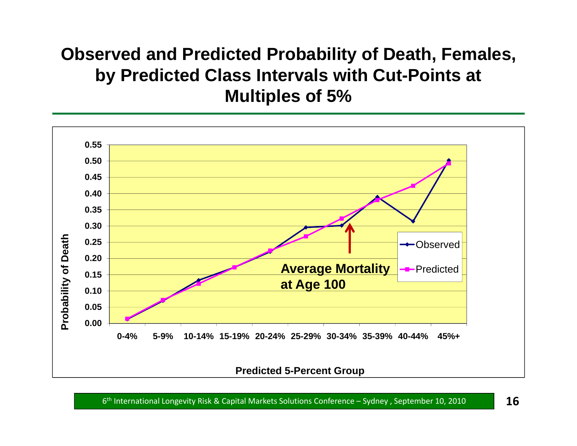### **Observed and Predicted Probability of Death, Females, b y Predicted Class Intervals with Cut-Points at Multiples of 5%**

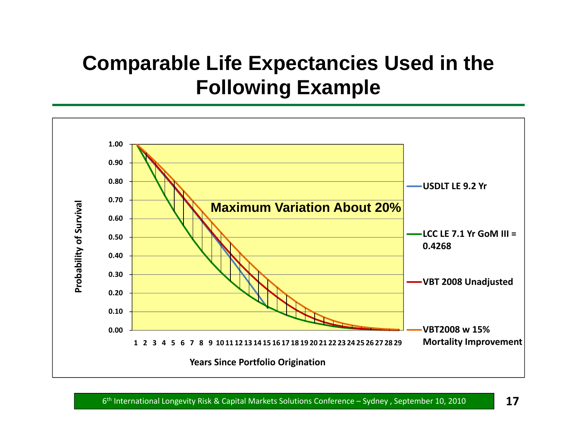# **Comparable Life Expectancies Used in the Following Example**

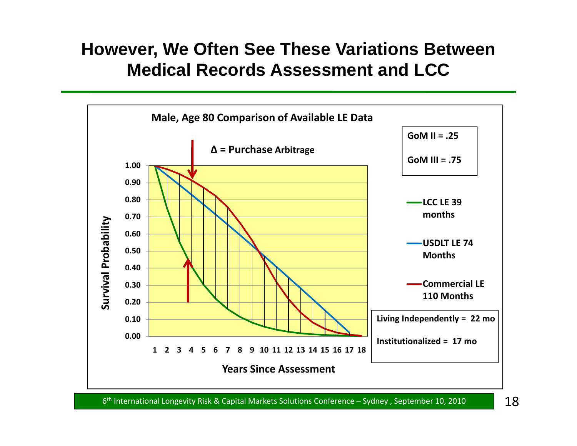#### **However, We Often See These Variations Between Medical Records Assessment and LCC**

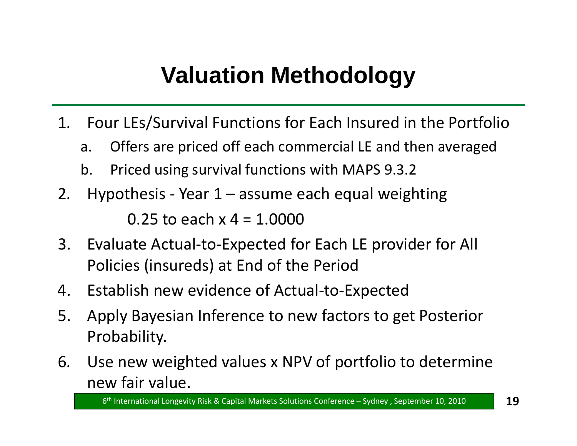# **Valuation Methodology**

- 1. Four LEs/Survival Functions for Each Insured in the Portfolio
	- a. Offers are priced off each commercial LE and then averaged
	- b. Priced using survival functions with MAPS 9.3.2
- 2.. Hypothesis ‐ Year 1 – assume each equal weighting 0.25 to each x4= 1.0000
- 3. Evaluate Actual-to-Expected for Each LE provider for All Policies (insureds) at End of the Period
- 4. Establish new evidence of Actual ‐to ‐Expected
- 5. Apply Bayesian Inference to new factors to get Posterior Probability.
- 6. Use new weighted values x NPV of portfolio to determine new fair value.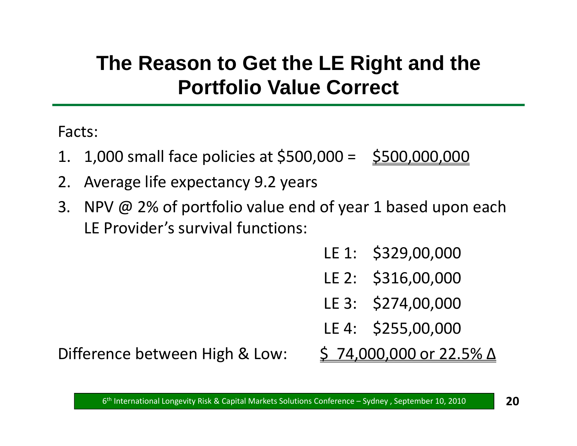# **The Reason to Get the LE Right and the Portfolio Value Correct**

Facts:

- 1. 1,000 small face policies at \$500,000 = \$500,000,000
- 2. Average life expectancy 9.2 years
- 3. NPV @ 2% of portfolio value end of year 1 based upon each LE Provider's survival functions:
	- LE 1: \$329,00,000
	- LE 2: \$316,00,000
	- LE 3: \$274,00,000
	- LE 4: \$255,00,000

Difference between High &

 $$74,000,000$  or  $22.5\%$   $\Delta$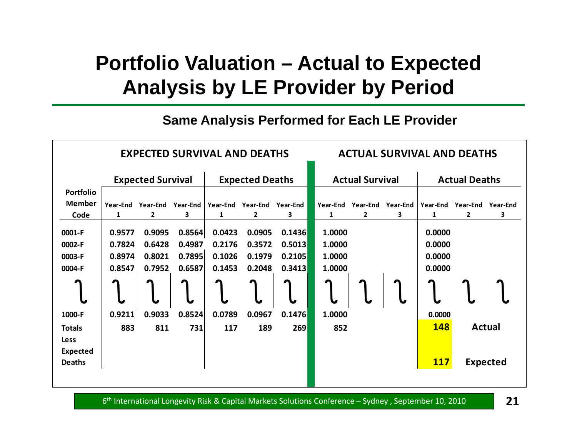# **Portfolio Valuation – Actual to Expected** Analysis by LE Provider by Period

#### **Same Analysis Performed for Each LE Provider**

|                 | <b>EXPECTED SURVIVAL AND DEATHS</b>                |                 |                 |          |              | <b>ACTUAL SURVIVAL AND DEATHS</b>              |                      |          |          |            |          |                 |
|-----------------|----------------------------------------------------|-----------------|-----------------|----------|--------------|------------------------------------------------|----------------------|----------|----------|------------|----------|-----------------|
|                 | <b>Expected Survival</b><br><b>Expected Deaths</b> |                 |                 |          |              | <b>Actual Survival</b><br><b>Actual Deaths</b> |                      |          |          |            |          |                 |
| Portfolio       |                                                    |                 |                 |          |              |                                                |                      |          |          |            |          |                 |
| <b>Member</b>   | Year-End                                           | <b>Year-End</b> | <b>Year-End</b> | Year-End | Year-End     | Year-End                                       | Year-End             | Year-End | Year-End | Year-End   | Year-End | Year-End        |
| Code            | 1                                                  | $\overline{2}$  | 3               | 1        | $\mathbf{2}$ | 3                                              | 1                    | 2        | 3        | 1          | 2        | 3               |
| 0001-F          | 0.9577                                             | 0.9095          | 0.8564          | 0.0423   | 0.0905       | 0.1436                                         | 1.0000               |          |          | 0.0000     |          |                 |
| 0002-F          | 0.7824                                             | 0.6428          | 0.4987          | 0.2176   | 0.3572       | 0.5013                                         | 1.0000               |          |          | 0.0000     |          |                 |
| 0003-F          | 0.8974                                             | 0.8021          | 0.7895          | 0.1026   | 0.1979       | 0.2105                                         | 1.0000               |          |          | 0.0000     |          |                 |
| 0004-F          | 0.8547                                             | 0.7952          | 0.6587          | 0.1453   | 0.2048       | 0.3413                                         | 1.0000               |          |          | 0.0000     |          |                 |
|                 |                                                    |                 |                 |          |              |                                                | $\ddot{\phantom{a}}$ |          |          |            |          |                 |
| 1000-F          | 0.9211                                             | 0.9033          | 0.8524          | 0.0789   | 0.0967       | 0.1476                                         | 1.0000               |          |          | 0.0000     |          |                 |
| <b>Totals</b>   | 883                                                | 811             | 731             | 117      | 189          | 269                                            | 852                  |          |          | 148        |          | <b>Actual</b>   |
| Less            |                                                    |                 |                 |          |              |                                                |                      |          |          |            |          |                 |
| <b>Expected</b> |                                                    |                 |                 |          |              |                                                |                      |          |          |            |          |                 |
| <b>Deaths</b>   |                                                    |                 |                 |          |              |                                                |                      |          |          | <b>117</b> |          | <b>Expected</b> |
|                 |                                                    |                 |                 |          |              |                                                |                      |          |          |            |          |                 |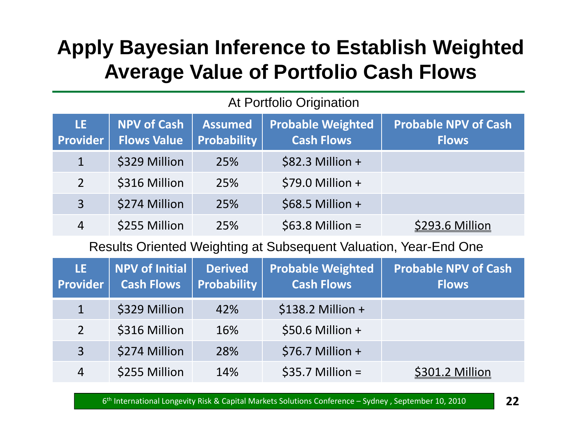## **Apply Bayesian Inference to Establish Weighted Avera ge Value of Portfolio Cash Flows**

| LE.<br><b>Provider</b> | NPV of Cash<br><b>Flows Value</b> | <b>Assumed</b><br>Probability | <b>Probable Weighted</b><br><b>Cash Flows</b> | <b>Probable NPV of Cash</b><br><b>Flows</b> |
|------------------------|-----------------------------------|-------------------------------|-----------------------------------------------|---------------------------------------------|
| $\mathbf{1}$           | \$329 Million                     | 25%                           | $$82.3$ Million +                             |                                             |
| $\overline{2}$         | \$316 Million                     | 25%                           | $$79.0$ Million +                             |                                             |
| 3                      | \$274 Million                     | 25%                           | $$68.5$ Million +                             |                                             |
| 4                      | \$255 Million                     | 25%                           | $$63.8$ Million =                             | \$293.6 Million                             |

#### At Portfolio Origination

#### Results Oriented Weighting at Subsequent Valuation, Year-End One

| LE.<br><b>Provider</b> | NPV of Initial<br><b>Cash Flows</b> | <b>Derived</b><br><b>Probability</b> | <b>Probable Weighted</b><br><b>Cash Flows</b> | <b>Probable NPV of Cash</b><br><b>Flows</b> |
|------------------------|-------------------------------------|--------------------------------------|-----------------------------------------------|---------------------------------------------|
| $\mathbf 1$            | \$329 Million                       | 42%                                  | $$138.2$ Million +                            |                                             |
| 2                      | \$316 Million                       | 16%                                  | $$50.6$ Million +                             |                                             |
| $\overline{3}$         | \$274 Million                       | 28%                                  | $$76.7$ Million +                             |                                             |
| 4                      | \$255 Million                       | 14%                                  | $$35.7$ Million =                             | \$301.2 Million                             |